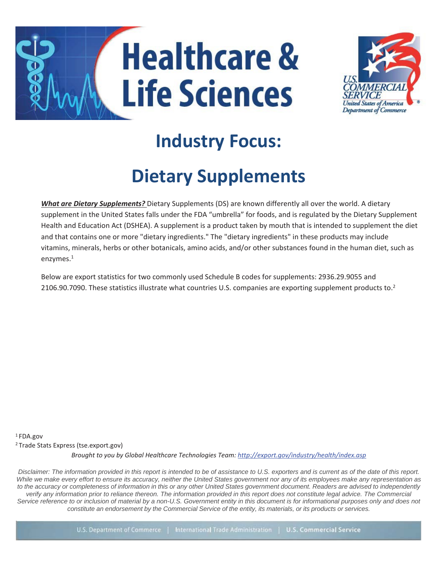



# **Industry Focus:**

# **Dietary Supplements**

*What are Dietary Supplements?* Dietary Supplements (DS) are known differently all over the world. A dietary supplement in the United States falls under the FDA "umbrella" for foods, and is regulated by the Dietary Supplement Health and Education Act (DSHEA). A supplement is a product taken by mouth that is intended to supplement the diet and that contains one or more "dietary ingredients." The "dietary ingredients" in these products may include vitamins, minerals, herbs or other botanicals, amino acids, and/or other substances found in the human diet, such as enzymes. 1

Below are export statistics for two commonly used Schedule B codes for supplements: 2936.29.9055 and 2106.90.7090. These statistics illustrate what countries U.S. companies are exporting supplement products to.<sup>2</sup>

*Brought to you by Global Healthcare Technologies Team[: http://export.gov/industry/health/index.asp](http://export.gov/industry/health/index.asp)* 1 FDA.gov 2 Trade Stats Express (tse.export.gov)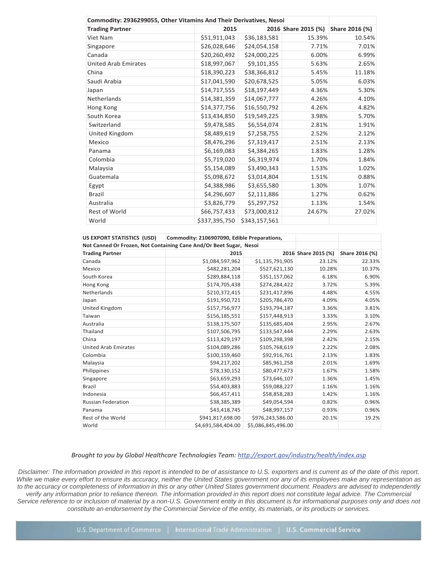| Commodity: 2936299055, Other Vitamins And Their Derivatives, Nesoi |               |               |                     |                |  |  |
|--------------------------------------------------------------------|---------------|---------------|---------------------|----------------|--|--|
| <b>Trading Partner</b>                                             | 2015          |               | 2016 Share 2015 (%) | Share 2016 (%) |  |  |
| Viet Nam                                                           | \$51,911,043  | \$36,183,581  | 15.39%              | 10.54%         |  |  |
| Singapore                                                          | \$26,028,646  | \$24,054,158  | 7.71%               | 7.01%          |  |  |
| Canada                                                             | \$20,260,492  | \$24,000,225  | 6.00%               | 6.99%          |  |  |
| <b>United Arab Emirates</b>                                        | \$18,997,067  | \$9,101,355   | 5.63%               | 2.65%          |  |  |
| China                                                              | \$18,390,223  | \$38,366,812  | 5.45%               | 11.18%         |  |  |
| Saudi Arabia                                                       | \$17,041,590  | \$20,678,525  | 5.05%               | 6.03%          |  |  |
| Japan                                                              | \$14,717,555  | \$18,197,449  | 4.36%               | 5.30%          |  |  |
| Netherlands                                                        | \$14,381,359  | \$14,067,777  | 4.26%               | 4.10%          |  |  |
| Hong Kong                                                          | \$14,377,756  | \$16,550,792  | 4.26%               | 4.82%          |  |  |
| South Korea                                                        | \$13,434,850  | \$19,549,225  | 3.98%               | 5.70%          |  |  |
| Switzerland                                                        | \$9,478,585   | \$6,554,074   | 2.81%               | 1.91%          |  |  |
| United Kingdom                                                     | \$8,489,619   | \$7,258,755   | 2.52%               | 2.12%          |  |  |
| Mexico                                                             | \$8,476,296   | \$7,319,417   | 2.51%               | 2.13%          |  |  |
| Panama                                                             | \$6,169,083   | \$4,384,265   | 1.83%               | 1.28%          |  |  |
| Colombia                                                           | \$5,719,020   | \$6,319,974   | 1.70%               | 1.84%          |  |  |
| Malaysia                                                           | \$5,154,089   | \$3,490,343   | 1.53%               | 1.02%          |  |  |
| Guatemala                                                          | \$5,098,672   | \$3,014,804   | 1.51%               | 0.88%          |  |  |
| Egypt                                                              | \$4,388,986   | \$3,655,580   | 1.30%               | 1.07%          |  |  |
| <b>Brazil</b>                                                      | \$4,296,607   | \$2,111,886   | 1.27%               | 0.62%          |  |  |
| Australia                                                          | \$3,826,779   | \$5,297,752   | 1.13%               | 1.54%          |  |  |
| Rest of World                                                      | \$66,757,433  | \$73,000,812  | 24.67%              | 27.02%         |  |  |
| World                                                              | \$337,395,750 | \$343,157,561 |                     |                |  |  |

| <b>US EXPORT STATISTICS (USD)</b>                                  | Commodity: 2106907090, Edible Preparations, |                    |                     |                |
|--------------------------------------------------------------------|---------------------------------------------|--------------------|---------------------|----------------|
| Not Canned Or Frozen, Not Containing Cane And/Or Beet Sugar, Nesoi |                                             |                    |                     |                |
| <b>Trading Partner</b>                                             | 2015                                        |                    | 2016 Share 2015 (%) | Share 2016 (%) |
| Canada                                                             | \$1,084,597,962                             | \$1,135,791,905    | 23.12%              | 22.33%         |
| Mexico                                                             | \$482,281,204                               | \$527,621,130      | 10.28%              | 10.37%         |
| South Korea                                                        | \$289,884,118                               | \$351,157,062      | 6.18%               | 6.90%          |
| Hong Kong                                                          | \$174,705,438                               | \$274,284,422      | 3.72%               | 5.39%          |
| Netherlands                                                        | \$210,372,415                               | \$231,417,896      | 4.48%               | 4.55%          |
| Japan                                                              | \$191,950,721                               | \$205,786,470      | 4.09%               | 4.05%          |
| United Kingdom                                                     | \$157,756,977                               | \$193,794,187      | 3.36%               | 3.81%          |
| Taiwan                                                             | \$156,185,551                               | \$157,448,913      | 3.33%               | 3.10%          |
| Australia                                                          | \$138,175,507                               | \$135,685,404      | 2.95%               | 2.67%          |
| Thailand                                                           | \$107,506,795                               | \$133,547,444      | 2.29%               | 2.63%          |
| China                                                              | \$113,429,197                               | \$109,298,398      | 2.42%               | 2.15%          |
| <b>United Arab Emirates</b>                                        | \$104,089,286                               | \$105,768,619      | 2.22%               | 2.08%          |
| Colombia                                                           | \$100,159,460                               | \$92,916,761       | 2.13%               | 1.83%          |
| Malaysia                                                           | \$94,217,202                                | \$85,961,258       | 2.01%               | 1.69%          |
| Philippines                                                        | \$78,130,152                                | \$80,477,673       | 1.67%               | 1.58%          |
| Singapore                                                          | \$63,659,293                                | \$73,646,107       | 1.36%               | 1.45%          |
| <b>Brazil</b>                                                      | \$54,403,883                                | \$59,088,227       | 1.16%               | 1.16%          |
| Indonesia                                                          | \$66,457,411                                | \$58,858,283       | 1.42%               | 1.16%          |
| <b>Russian Federation</b>                                          | \$38,385,389                                | \$49,054,594       | 0.82%               | 0.96%          |
| Panama                                                             | \$43,418,745                                | \$48,997,157       | 0.93%               | 0.96%          |
| Rest of the World                                                  | \$941,817,698.00                            | \$976,243,586.00   | 20.1%               | 19.2%          |
| World                                                              | \$4,691,584,404.00                          | \$5,086,845,496.00 |                     |                |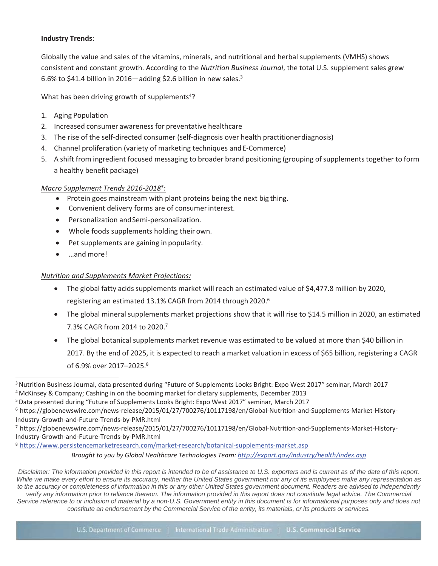# **Industry Trends**:

Globally the value and sales of the vitamins, minerals, and nutritional and herbal supplements (VMHS) shows consistent and constant growth. According to the *Nutrition Business Journal*, the total U.S. supplement sales grew 6.6% to \$41.4 billion in 2016—adding \$2.6 billion in new sales.3

What has been driving growth of supplements<sup>4</sup>?

- 1. Aging Population
- 2. Increased consumer awareness for preventative healthcare
- 3. The rise of the self-directed consumer (self-diagnosis over health practitionerdiagnosis)
- 4. Channel proliferation (variety of marketing techniques andE-Commerce)
- 5. A shift from ingredient focused messaging to broader brand positioning (grouping ofsupplements together to form a healthy benefit package)

# *Macro Supplement Trends 2016-20185:*

- Protein goes mainstream with plant proteins being the next big thing.
- Convenient delivery forms are of consumerinterest.
- Personalization andSemi-personalization.
- Whole foods supplements holding their own.
- Pet supplements are gaining in popularity.
- …and more!

# *Nutrition and Supplements Market Projections:*

- The global fatty acids supplements market will reach an estimated value of \$4,477.8 million by 2020, registering an estimated 13.1% CAGR from 2014 through 2020.<sup>6</sup>
- The global mineral supplements market projections show that it will rise to \$14.5 million in 2020, an estimated 7.3% CAGR from 2014 to 2020.7
- The global botanical supplements market revenue was estimated to be valued at more than \$40 billion in 2017. By the end of 2025, it is expected to reach a market valuation in excess of \$65 billion, registering a CAGR of 6.9% over 2017–2025.8

8 https:/[/www.persistencemarketresearch.com/market-research/botanical-supplements-market.asp](http://www.persistencemarketresearch.com/market-research/botanical-supplements-market.asp)

*Brought to you by Global Healthcare Technologies Team[: http://export.gov/industry/health/index.asp](http://export.gov/industry/health/index.asp)*

<sup>3</sup> Nutrition Business Journal, data presented during "Future of Supplements Looks Bright: Expo West 2017" seminar, March 2017

<sup>4</sup> McKinsey & Company; Cashing in on the booming market for dietary supplements, December 2013

<sup>5</sup> Data presented during "Future of Supplements Looks Bright: Expo West 2017" seminar, March 2017

<sup>6</sup> https://globenewswire.com/news-release/2015/01/27/700276/10117198/en/Global-Nutrition-and-Supplements-Market-History-Industry-Growth-and-Future-Trends-by-PMR.html

<sup>7</sup> https://globenewswire.com/news-release/2015/01/27/700276/10117198/en/Global-Nutrition-and-Supplements-Market-History-Industry-Growth-and-Future-Trends-by-PMR.html

*Disclaimer: The information provided in this report is intended to be of assistance to U.S. exporters and is current as of the date of this report. While we make every effort to ensure its accuracy, neither the United States government nor any of its employees make any representation as*  to the accuracy or completeness of information in this or any other United States government document. Readers are advised to independently *verify any information prior to reliance thereon. The information provided in this report does not constitute legal advice. The Commercial Service reference to or inclusion of material by a non-U.S. Government entity in this document is for informational purposes only and does not*  constitute an endorsement by the Commercial Service of the entity, its materials, or its products or services.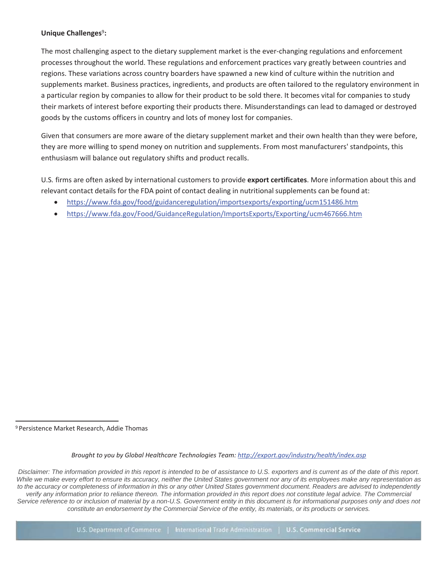# **Unique Challenges<sup>9</sup>:**

The most challenging aspect to the dietary supplement market is the ever-changing regulations and enforcement processes throughout the world. These regulations and enforcement practices vary greatly between countries and regions. These variations across country boarders have spawned a new kind of culture within the nutrition and supplements market. Business practices, ingredients, and products are often tailored to the regulatory environment in a particular region by companies to allow for their product to be sold there. It becomes vital for companies to study their markets of interest before exporting their products there. Misunderstandings can lead to damaged or destroyed goods by the customs officers in country and lots of money lost for companies.

Given that consumers are more aware of the dietary supplement market and their own health than they were before, they are more willing to spend money on nutrition and supplements. From most manufacturers' standpoints, this enthusiasm will balance out regulatory shifts and product recalls.

U.S. firms are often asked by international customers to provide **export certificates**. More information about this and relevant contact details for the FDA point of contact dealing in nutritional supplements can be found at:

- https:/[/www.fda.gov/food/guidanceregulation/importsexports/exporting/ucm151486.htm](http://www.fda.gov/food/guidanceregulation/importsexports/exporting/ucm151486.htm)
- https:/[/www.fda.gov/Food/GuidanceRegulation/ImportsExports/Exporting/ucm467666.htm](http://www.fda.gov/Food/GuidanceRegulation/ImportsExports/Exporting/ucm467666.htm)

9 Persistence Market Research, Addie Thomas

*Brought to you by Global Healthcare Technologies Team[: http://export.gov/industry/health/index.asp](http://export.gov/industry/health/index.asp)*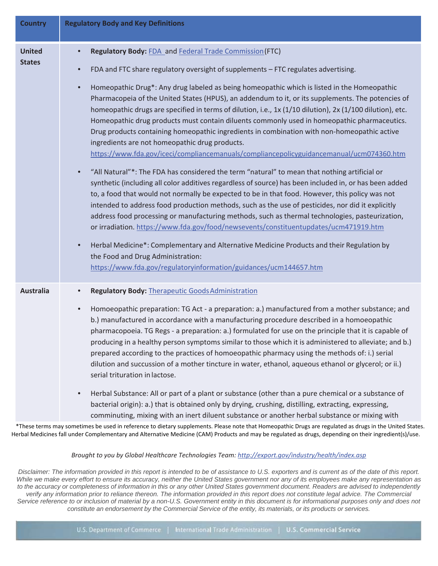| <b>Country</b>                 | <b>Regulatory Body and Key Definitions</b>                                                                                                                                                                                                                                                                                                                                                                                                                                                                                                                                                                                                                                                                                                                                                                                                                                                                                                                                                                                                                                                                                                                                                                                                                                                                                                                                                                                                                                                                                                                                                                                                                            |
|--------------------------------|-----------------------------------------------------------------------------------------------------------------------------------------------------------------------------------------------------------------------------------------------------------------------------------------------------------------------------------------------------------------------------------------------------------------------------------------------------------------------------------------------------------------------------------------------------------------------------------------------------------------------------------------------------------------------------------------------------------------------------------------------------------------------------------------------------------------------------------------------------------------------------------------------------------------------------------------------------------------------------------------------------------------------------------------------------------------------------------------------------------------------------------------------------------------------------------------------------------------------------------------------------------------------------------------------------------------------------------------------------------------------------------------------------------------------------------------------------------------------------------------------------------------------------------------------------------------------------------------------------------------------------------------------------------------------|
| <b>United</b><br><b>States</b> | Regulatory Body: FDA_and Federal Trade Commission (FTC)<br>FDA and FTC share regulatory oversight of supplements - FTC regulates advertising.<br>$\bullet$<br>Homeopathic Drug*: Any drug labeled as being homeopathic which is listed in the Homeopathic<br>$\bullet$<br>Pharmacopeia of the United States (HPUS), an addendum to it, or its supplements. The potencies of<br>homeopathic drugs are specified in terms of dilution, i.e., 1x (1/10 dilution), 2x (1/100 dilution), etc.<br>Homeopathic drug products must contain diluents commonly used in homeopathic pharmaceutics.<br>Drug products containing homeopathic ingredients in combination with non-homeopathic active<br>ingredients are not homeopathic drug products.<br>https://www.fda.gov/iceci/compliancemanuals/compliancepolicyguidancemanual/ucm074360.htm<br>"All Natural"*: The FDA has considered the term "natural" to mean that nothing artificial or<br>synthetic (including all color additives regardless of source) has been included in, or has been added<br>to, a food that would not normally be expected to be in that food. However, this policy was not<br>intended to address food production methods, such as the use of pesticides, nor did it explicitly<br>address food processing or manufacturing methods, such as thermal technologies, pasteurization,<br>or irradiation. https://www.fda.gov/food/newsevents/constituentupdates/ucm471919.htm<br>Herbal Medicine*: Complementary and Alternative Medicine Products and their Regulation by<br>$\bullet$<br>the Food and Drug Administration:<br>https://www.fda.gov/regulatoryinformation/guidances/ucm144657.htm |
| <b>Australia</b>               | <b>Regulatory Body: Therapeutic Goods Administration</b><br>Homoeopathic preparation: TG Act - a preparation: a.) manufactured from a mother substance; and<br>$\bullet$<br>b.) manufactured in accordance with a manufacturing procedure described in a homoeopathic<br>pharmacopoeia. TG Regs - a preparation: a.) formulated for use on the principle that it is capable of<br>producing in a healthy person symptoms similar to those which it is administered to alleviate; and b.)<br>prepared according to the practices of homoeopathic pharmacy using the methods of: i.) serial<br>dilution and succussion of a mother tincture in water, ethanol, aqueous ethanol or glycerol; or ii.)<br>serial trituration in lactose.<br>Herbal Substance: All or part of a plant or substance (other than a pure chemical or a substance of<br>$\bullet$<br>bacterial origin): a.) that is obtained only by drying, crushing, distilling, extracting, expressing,<br>comminuting, mixing with an inert diluent substance or another herbal substance or mixing with                                                                                                                                                                                                                                                                                                                                                                                                                                                                                                                                                                                                    |

 \*These terms may sometimes be used in reference to dietary supplements. Please note that Homeopathic Drugs are regulated as drugs in the United States. Herbal Medicines fall under Complementary and Alternative Medicine (CAM) Products and may be regulated as drugs, depending on their ingredient(s)/use.

*Brought to you by Global Healthcare Technologies Team[: http://export.gov/industry/health/index.asp](http://export.gov/industry/health/index.asp)*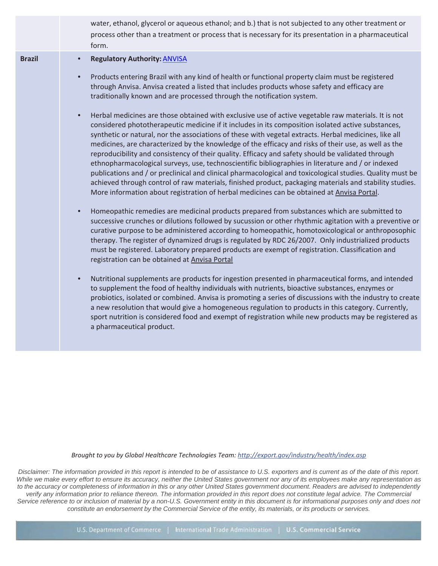|               | water, ethanol, glycerol or aqueous ethanol; and b.) that is not subjected to any other treatment or<br>process other than a treatment or process that is necessary for its presentation in a pharmaceutical<br>form.                                                                                                                                                                                                                                                                                                                                                                                                                                                                                                                                                                                                                                                                                                                                                                                                                                                                                                                                                                                                                                                                                                                                                                                                                                                                                                                                                                                                                                                                                                                                                                                                                                                                                                                                                                                                                                                                                                                                                                                                                                                                                                                                                                                                                                                                     |
|---------------|-------------------------------------------------------------------------------------------------------------------------------------------------------------------------------------------------------------------------------------------------------------------------------------------------------------------------------------------------------------------------------------------------------------------------------------------------------------------------------------------------------------------------------------------------------------------------------------------------------------------------------------------------------------------------------------------------------------------------------------------------------------------------------------------------------------------------------------------------------------------------------------------------------------------------------------------------------------------------------------------------------------------------------------------------------------------------------------------------------------------------------------------------------------------------------------------------------------------------------------------------------------------------------------------------------------------------------------------------------------------------------------------------------------------------------------------------------------------------------------------------------------------------------------------------------------------------------------------------------------------------------------------------------------------------------------------------------------------------------------------------------------------------------------------------------------------------------------------------------------------------------------------------------------------------------------------------------------------------------------------------------------------------------------------------------------------------------------------------------------------------------------------------------------------------------------------------------------------------------------------------------------------------------------------------------------------------------------------------------------------------------------------------------------------------------------------------------------------------------------------|
| <b>Brazil</b> | <b>Regulatory Authority: ANVISA</b><br>$\bullet$<br>Products entering Brazil with any kind of health or functional property claim must be registered<br>$\bullet$<br>through Anvisa. Anvisa created a listed that includes products whose safety and efficacy are<br>traditionally known and are processed through the notification system.<br>Herbal medicines are those obtained with exclusive use of active vegetable raw materials. It is not<br>$\bullet$<br>considered phototherapeutic medicine if it includes in its composition isolated active substances,<br>synthetic or natural, nor the associations of these with vegetal extracts. Herbal medicines, like all<br>medicines, are characterized by the knowledge of the efficacy and risks of their use, as well as the<br>reproducibility and consistency of their quality. Efficacy and safety should be validated through<br>ethnopharmacological surveys, use, technoscientific bibliographies in literature and / or indexed<br>publications and / or preclinical and clinical pharmacological and toxicological studies. Quality must be<br>achieved through control of raw materials, finished product, packaging materials and stability studies.<br>More information about registration of herbal medicines can be obtained at Anvisa Portal.<br>Homeopathic remedies are medicinal products prepared from substances which are submitted to<br>$\bullet$<br>successive crunches or dilutions followed by sucussion or other rhythmic agitation with a preventive or<br>curative purpose to be administered according to homeopathic, homotoxicological or anthroposophic<br>therapy. The register of dynamized drugs is regulated by RDC 26/2007. Only industrialized products<br>must be registered. Laboratory prepared products are exempt of registration. Classification and<br>registration can be obtained at Anvisa Portal<br>Nutritional supplements are products for ingestion presented in pharmaceutical forms, and intended<br>$\bullet$<br>to supplement the food of healthy individuals with nutrients, bioactive substances, enzymes or<br>probiotics, isolated or combined. Anvisa is promoting a series of discussions with the industry to create<br>a new resolution that would give a homogeneous regulation to products in this category. Currently,<br>sport nutrition is considered food and exempt of registration while new products may be registered as<br>a pharmaceutical product. |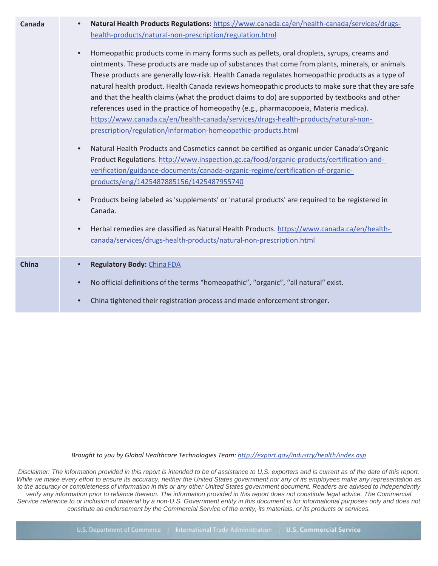| Canada       | Natural Health Products Regulations: https://www.canada.ca/en/health-canada/services/drugs-<br>$\bullet$<br>health-products/natural-non-prescription/regulation.html<br>Homeopathic products come in many forms such as pellets, oral droplets, syrups, creams and<br>$\bullet$<br>ointments. These products are made up of substances that come from plants, minerals, or animals.<br>These products are generally low-risk. Health Canada regulates homeopathic products as a type of<br>natural health product. Health Canada reviews homeopathic products to make sure that they are safe<br>and that the health claims (what the product claims to do) are supported by textbooks and other<br>references used in the practice of homeopathy (e.g., pharmacopoeia, Materia medica).<br>https://www.canada.ca/en/health-canada/services/drugs-health-products/natural-non-<br>prescription/regulation/information-homeopathic-products.html<br>Natural Health Products and Cosmetics cannot be certified as organic under Canada's Organic<br>$\bullet$<br>Product Regulations. http://www.inspection.gc.ca/food/organic-products/certification-and-<br>verification/guidance-documents/canada-organic-regime/certification-of-organic-<br>products/eng/1425487885156/1425487955740<br>Products being labeled as 'supplements' or 'natural products' are required to be registered in<br>$\bullet$<br>Canada.<br>Herbal remedies are classified as Natural Health Products. https://www.canada.ca/en/health-<br>$\bullet$ |
|--------------|-------------------------------------------------------------------------------------------------------------------------------------------------------------------------------------------------------------------------------------------------------------------------------------------------------------------------------------------------------------------------------------------------------------------------------------------------------------------------------------------------------------------------------------------------------------------------------------------------------------------------------------------------------------------------------------------------------------------------------------------------------------------------------------------------------------------------------------------------------------------------------------------------------------------------------------------------------------------------------------------------------------------------------------------------------------------------------------------------------------------------------------------------------------------------------------------------------------------------------------------------------------------------------------------------------------------------------------------------------------------------------------------------------------------------------------------------------------------------------------------------------------------------------|
|              | canada/services/drugs-health-products/natural-non-prescription.html                                                                                                                                                                                                                                                                                                                                                                                                                                                                                                                                                                                                                                                                                                                                                                                                                                                                                                                                                                                                                                                                                                                                                                                                                                                                                                                                                                                                                                                           |
| <b>China</b> | Regulatory Body: China FDA<br>$\bullet$<br>No official definitions of the terms "homeopathic", "organic", "all natural" exist.<br>$\bullet$<br>China tightened their registration process and made enforcement stronger.<br>$\bullet$                                                                                                                                                                                                                                                                                                                                                                                                                                                                                                                                                                                                                                                                                                                                                                                                                                                                                                                                                                                                                                                                                                                                                                                                                                                                                         |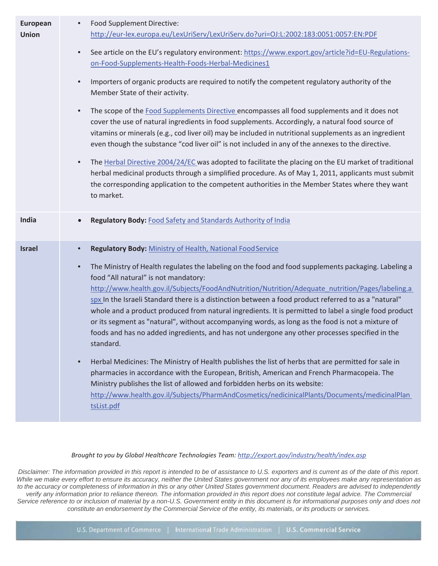| <b>European</b><br><b>Union</b> | Food Supplement Directive:<br>$\bullet$<br>http://eur-lex.europa.eu/LexUriServ/LexUriServ.do?uri=OJ:L:2002:183:0051:0057:EN:PDF<br>See article on the EU's regulatory environment: https://www.export.gov/article?id=EU-Regulations-<br>$\bullet$<br>on-Food-Supplements-Health-Foods-Herbal-Medicines1<br>Importers of organic products are required to notify the competent regulatory authority of the<br>$\bullet$<br>Member State of their activity.<br>The scope of the Food Supplements Directive encompasses all food supplements and it does not<br>$\bullet$<br>cover the use of natural ingredients in food supplements. Accordingly, a natural food source of<br>vitamins or minerals (e.g., cod liver oil) may be included in nutritional supplements as an ingredient<br>even though the substance "cod liver oil" is not included in any of the annexes to the directive.<br>The Herbal Directive 2004/24/EC was adopted to facilitate the placing on the EU market of traditional<br>$\bullet$<br>herbal medicinal products through a simplified procedure. As of May 1, 2011, applicants must submit                                             |
|---------------------------------|-------------------------------------------------------------------------------------------------------------------------------------------------------------------------------------------------------------------------------------------------------------------------------------------------------------------------------------------------------------------------------------------------------------------------------------------------------------------------------------------------------------------------------------------------------------------------------------------------------------------------------------------------------------------------------------------------------------------------------------------------------------------------------------------------------------------------------------------------------------------------------------------------------------------------------------------------------------------------------------------------------------------------------------------------------------------------------------------------------------------------------------------------------------------|
|                                 | the corresponding application to the competent authorities in the Member States where they want<br>to market.                                                                                                                                                                                                                                                                                                                                                                                                                                                                                                                                                                                                                                                                                                                                                                                                                                                                                                                                                                                                                                                     |
| India                           | Regulatory Body: Food Safety and Standards Authority of India                                                                                                                                                                                                                                                                                                                                                                                                                                                                                                                                                                                                                                                                                                                                                                                                                                                                                                                                                                                                                                                                                                     |
| <b>Israel</b>                   | Regulatory Body: Ministry of Health, National Food Service<br>The Ministry of Health regulates the labeling on the food and food supplements packaging. Labeling a<br>$\bullet$<br>food "All natural" is not mandatory:<br>http://www.health.gov.il/Subjects/FoodAndNutrition/Nutrition/Adequate nutrition/Pages/labeling.a<br>spx In the Israeli Standard there is a distinction between a food product referred to as a "natural"<br>whole and a product produced from natural ingredients. It is permitted to label a single food product<br>or its segment as "natural", without accompanying words, as long as the food is not a mixture of<br>foods and has no added ingredients, and has not undergone any other processes specified in the<br>standard.<br>Herbal Medicines: The Ministry of Health publishes the list of herbs that are permitted for sale in<br>pharmacies in accordance with the European, British, American and French Pharmacopeia. The<br>Ministry publishes the list of allowed and forbidden herbs on its website:<br>http://www.health.gov.il/Subjects/PharmAndCosmetics/nedicinicalPlants/Documents/medicinalPlan<br>tsList.pdf |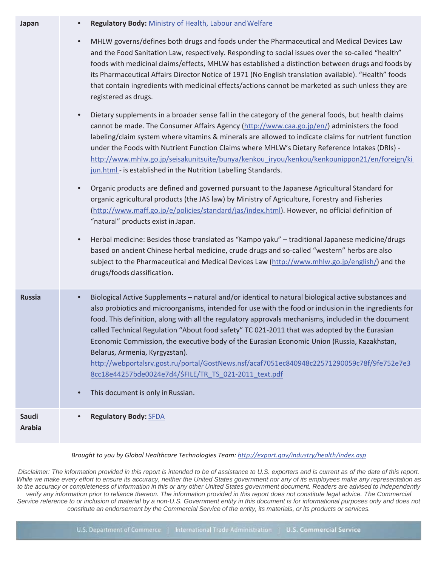| Japan                  | Regulatory Body: Ministry of Health, Labour and Welfare                                                                                                                                                                                                                                                                                                                                                                                                                                                                                                                                                                                                                                                                     |
|------------------------|-----------------------------------------------------------------------------------------------------------------------------------------------------------------------------------------------------------------------------------------------------------------------------------------------------------------------------------------------------------------------------------------------------------------------------------------------------------------------------------------------------------------------------------------------------------------------------------------------------------------------------------------------------------------------------------------------------------------------------|
|                        | MHLW governs/defines both drugs and foods under the Pharmaceutical and Medical Devices Law<br>$\bullet$<br>and the Food Sanitation Law, respectively. Responding to social issues over the so-called "health"<br>foods with medicinal claims/effects, MHLW has established a distinction between drugs and foods by<br>its Pharmaceutical Affairs Director Notice of 1971 (No English translation available). "Health" foods<br>that contain ingredients with medicinal effects/actions cannot be marketed as such unless they are<br>registered as drugs.                                                                                                                                                                  |
|                        | Dietary supplements in a broader sense fall in the category of the general foods, but health claims<br>$\bullet$<br>cannot be made. The Consumer Affairs Agency (http://www.caa.go.jp/en/) administers the food<br>labeling/claim system where vitamins & minerals are allowed to indicate claims for nutrient function<br>under the Foods with Nutrient Function Claims where MHLW's Dietary Reference Intakes (DRIs) -<br>http://www.mhlw.go.jp/seisakunitsuite/bunya/kenkou iryou/kenkou/kenkounippon21/en/foreign/ki<br>jun.html - is established in the Nutrition Labelling Standards.                                                                                                                                 |
|                        | Organic products are defined and governed pursuant to the Japanese Agricultural Standard for<br>$\bullet$<br>organic agricultural products (the JAS law) by Ministry of Agriculture, Forestry and Fisheries<br>(http://www.maff.go.jp/e/policies/standard/jas/index.html). However, no official definition of<br>"natural" products exist in Japan.<br>Herbal medicine: Besides those translated as "Kampo yaku" - traditional Japanese medicine/drugs<br>$\bullet$                                                                                                                                                                                                                                                         |
|                        | based on ancient Chinese herbal medicine, crude drugs and so-called "western" herbs are also<br>subject to the Pharmaceutical and Medical Devices Law (http://www.mhlw.go.jp/english/) and the<br>drugs/foods classification.                                                                                                                                                                                                                                                                                                                                                                                                                                                                                               |
| <b>Russia</b>          | Biological Active Supplements - natural and/or identical to natural biological active substances and<br>$\bullet$<br>also probiotics and microorganisms, intended for use with the food or inclusion in the ingredients for<br>food. This definition, along with all the regulatory approvals mechanisms, included in the document<br>called Technical Regulation "About food safety" TC 021-2011 that was adopted by the Eurasian<br>Economic Commission, the executive body of the Eurasian Economic Union (Russia, Kazakhstan,<br>Belarus, Armenia, Kyrgyzstan).<br>http://webportalsrv.gost.ru/portal/GostNews.nsf/acaf7051ec840948c22571290059c78f/9fe752e7e3<br>8cc18e44257bde0024e7d4/\$FILE/TR_TS_021-2011_text.pdf |
|                        | This document is only in Russian.<br>$\bullet$                                                                                                                                                                                                                                                                                                                                                                                                                                                                                                                                                                                                                                                                              |
| Saudi<br><b>Arabia</b> | <b>Regulatory Body: SFDA</b><br>$\bullet$                                                                                                                                                                                                                                                                                                                                                                                                                                                                                                                                                                                                                                                                                   |
|                        |                                                                                                                                                                                                                                                                                                                                                                                                                                                                                                                                                                                                                                                                                                                             |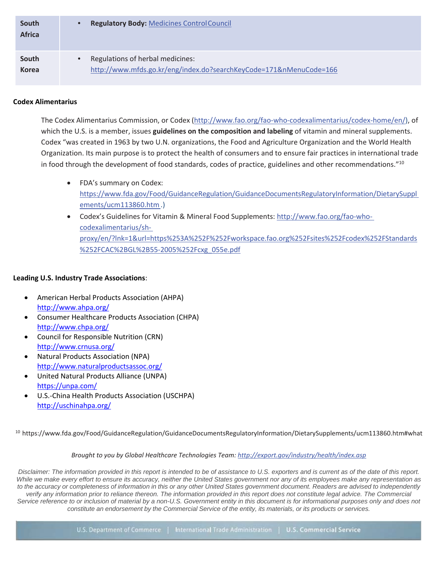| South<br><b>Africa</b> | <b>Regulatory Body: Medicines Control Council</b>                                                                   |
|------------------------|---------------------------------------------------------------------------------------------------------------------|
| South<br><b>Korea</b>  | Regulations of herbal medicines:<br>$\bullet$<br>http://www.mfds.go.kr/eng/index.do?searchKeyCode=171&nMenuCode=166 |
|                        |                                                                                                                     |

# **Codex Alimentarius**

The Codex Alimentarius Commission, or Codex [\(http://www.fao.org/fao-who-codexalimentarius/codex-home/en/\),](http://www.fao.org/fao-who-codexalimentarius/codex-home/en/)) of which the U.S. is a member, issues **guidelines on the composition and labeling** of vitamin and mineral supplements. Codex "was created in 1963 by two U.N. organizations, the Food and Agriculture Organization and the World Health Organization. Its main purpose is to protect the health of consumers and to ensure fair practices in international trade in food through the development of food standards, codes of practice, guidelines and other recommendations."10

- FDA's summary on Codex: https:/[/www.fda.gov/Food/GuidanceRegulation/GuidanceDocumentsRegulatoryInformation/DietarySuppl](http://www.fda.gov/Food/GuidanceRegulation/GuidanceDocumentsRegulatoryInformation/DietarySuppl)  ements/ucm113860.htm.)
- Codex's Guidelines for Vitamin & Mineral Food Supplements: [http://www.fao.org/fao-who](http://www.fao.org/fao-who-)codexalimentarius/shproxy/en/?lnk=1&url=https%253A%252F%252Fworkspace.fao.org%252Fsites%252Fcodex%252FStandards %252FCAC%2BGL%2B55-2005%252Fcxg\_055e.pdf

### **Leading U.S. Industry Trade Associations**:

- American Herbal Products Association (AHPA) <http://www.ahpa.org/>
- Consumer Healthcare Products Association (CHPA) <http://www.chpa.org/>
- Council for Responsible Nutrition (CRN) <http://www.crnusa.org/>
- Natural Products Association (NPA) <http://www.naturalproductsassoc.org/>
- United Natural Products Alliance (UNPA) <https://unpa.com/>
- U.S.-China Health Products Association (USCHPA) <http://uschinahpa.org/>

10 https:/[/www.fda.gov/Food/GuidanceRegulation/GuidanceDocumentsRegulatoryInformation/DietarySupplements/ucm113860.htm#what](http://www.fda.gov/Food/GuidanceRegulation/GuidanceDocumentsRegulatoryInformation/DietarySupplements/ucm113860.htm#what)

#### *Brought to you by Global Healthcare Technologies Team[: http://export.gov/industry/health/index.asp](http://export.gov/industry/health/index.asp)*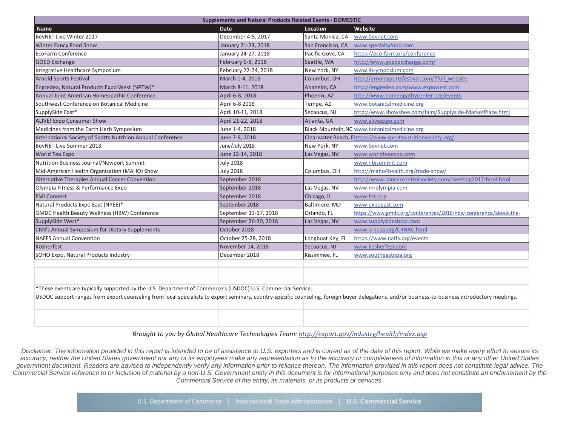| <b>Supplements and Natural Products Related Events - DOMESTIC</b>                                                                                                                                 |                       |                   |                                                                 |  |  |
|---------------------------------------------------------------------------------------------------------------------------------------------------------------------------------------------------|-----------------------|-------------------|-----------------------------------------------------------------|--|--|
| <b>Name</b>                                                                                                                                                                                       | <b>Date</b>           | <b>Location</b>   | Website                                                         |  |  |
| BevNET Live Winter 2017                                                                                                                                                                           | December 4-5, 2017    | Santa Monica, CA  | www.bevnet.com                                                  |  |  |
| Winter Fancy Food Show                                                                                                                                                                            | January 21-23, 2018   | San Francisco, CA | www.specialtyfood.com                                           |  |  |
| EcoFarm Conference                                                                                                                                                                                | January 24-27, 2018   | Pacific Gove, CA  | https://eco-farm.org/conference                                 |  |  |
| <b>GOED Exchange</b>                                                                                                                                                                              | February 6-8, 2018    | Seattle, WA       | http://www.goedexchange.com/                                    |  |  |
| Integrative Healthcare Symposium                                                                                                                                                                  | February 22-24, 2018  | New York, NY      | www.ihsymposium.com                                             |  |  |
| <b>Arnold Sports Festival</b>                                                                                                                                                                     | March 1-4, 2018       | Columbus, OH      | http://arnoldsportsfestival.com/?full_website                   |  |  |
| Engredea, Natural Products Expo West (NPEW)*                                                                                                                                                      | March 8-11, 2018      | Anaheim, CA       | http://engredea.com/www.expowest.com                            |  |  |
| Annual Joint American Homeopathic Conference                                                                                                                                                      | April 6-8, 2018       | Phoenix, AZ       | http://www.homeopathycenter.org/events                          |  |  |
| Southwest Conference on Botanical Medicine                                                                                                                                                        | April 6-8 2018        | Tempe, AZ         | www.botanicalmedicine.org                                       |  |  |
| SupplySide East*                                                                                                                                                                                  | April 10-11, 2018     | Secaucus, NJ      | http://www.showsbee.com/fairs/Supplyside-MarketPlace.html       |  |  |
| <b>ALIVE! Expo Consumer Show</b>                                                                                                                                                                  | April 21-22, 2018     | Atlanta, GA       | www.aliveexpo.com                                               |  |  |
| Medicines from the Earth Herb Symposium                                                                                                                                                           | June 1-4, 2018        |                   | Black Mountain, NC www.botanicalmedicine.org                    |  |  |
| International Society of Sports Nutrition Annual Conference                                                                                                                                       | June 7-9, 2018        |                   | Clearwater Beach, Fhttps://www.sportsnutritionsociety.org/      |  |  |
| BevNET Live Summer 2018                                                                                                                                                                           | June/July 2018        | New York, NY      | www.bevnet.com                                                  |  |  |
| World Tea Expo                                                                                                                                                                                    | June 12-14, 2018      | Las Vegas, NV     | www.worldteaexpo.com                                            |  |  |
| Nutrition Business Journal/Newport Summit                                                                                                                                                         | <b>July 2018</b>      |                   | www.nbjsummit.com                                               |  |  |
| Mid-American Health Organization (MAHO) Show                                                                                                                                                      | <b>July 2018</b>      | Columbus, OH      | http://maho4health.org/trade-show/                              |  |  |
| Alternative Therapies Annual Cancer Convention                                                                                                                                                    | September 2018        |                   | http://www.cancercontrolsociety.com/meeting2017-html.html       |  |  |
| Olympia Fitness & Performance Expo                                                                                                                                                                | September 2018        | Las Vegas, NV     | www.mrolympia.com                                               |  |  |
| <b>FMI Connect</b>                                                                                                                                                                                | September 2018        | Chicago, IL       | www.fmi.org                                                     |  |  |
| Natural Products Expo East (NPEE)*                                                                                                                                                                | September 2018        | Baltimore, MD     | www.expoeast.com                                                |  |  |
| <b>GMDC Health Beauty Wellness (HBW) Conference</b>                                                                                                                                               | September 13-17, 2018 | Orlando, FL       | https://www.gmdc.org/conferences/2018-hbw-conference/about-the- |  |  |
| SupplySide West*                                                                                                                                                                                  | September 26-30, 2018 | Las Vegas, NV     | www.supplysideshow.com                                          |  |  |
| CRN's Annual Symposium for Dietary Supplements                                                                                                                                                    | October 2018          |                   | www.crnusa.org/CRNAC.html                                       |  |  |
| <b>NAFFS Annual Convention</b>                                                                                                                                                                    | October 25-28, 2018   | Longboat Key, FL  | https://www.naffs.org/events                                    |  |  |
| Kosherfest                                                                                                                                                                                        | November 14, 2018     | Secaucus, NJ      | www.kosherfest.com                                              |  |  |
| SOHO Expo, Natural Products Industry                                                                                                                                                              | December 2018         | Kissimmee, FL     | www.southeastnpa.org                                            |  |  |
|                                                                                                                                                                                                   |                       |                   |                                                                 |  |  |
|                                                                                                                                                                                                   |                       |                   |                                                                 |  |  |
|                                                                                                                                                                                                   |                       |                   |                                                                 |  |  |
| *These events are typically supported by the U.S. Department of Commerce's (USDOC) U.S. Commercial Service.                                                                                       |                       |                   |                                                                 |  |  |
| USDOC support ranges from export counseling from local specialists to export seminars, country-specific counseling, foreign buyer delegations, and/or business-to-business introductory meetings. |                       |                   |                                                                 |  |  |
|                                                                                                                                                                                                   |                       |                   |                                                                 |  |  |
|                                                                                                                                                                                                   |                       |                   |                                                                 |  |  |
|                                                                                                                                                                                                   |                       |                   |                                                                 |  |  |